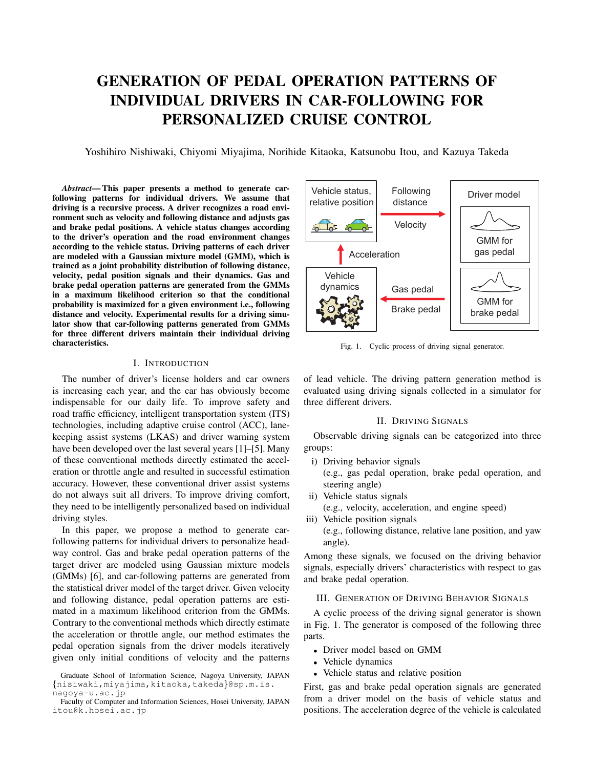# GENERATION OF PEDAL OPERATION PATTERNS OF INDIVIDUAL DRIVERS IN CAR-FOLLOWING FOR PERSONALIZED CRUISE CONTROL

Yoshihiro Nishiwaki, Chiyomi Miyajima, Norihide Kitaoka, Katsunobu Itou, and Kazuya Takeda

*Abstract*— This paper presents a method to generate carfollowing patterns for individual drivers. We assume that driving is a recursive process. A driver recognizes a road environment such as velocity and following distance and adjusts gas and brake pedal positions. A vehicle status changes according to the driver's operation and the road environment changes according to the vehicle status. Driving patterns of each driver are modeled with a Gaussian mixture model (GMM), which is trained as a joint probability distribution of following distance, velocity, pedal position signals and their dynamics. Gas and brake pedal operation patterns are generated from the GMMs in a maximum likelihood criterion so that the conditional probability is maximized for a given environment i.e., following distance and velocity. Experimental results for a driving simulator show that car-following patterns generated from GMMs for three different drivers maintain their individual driving characteristics.

# I. INTRODUCTION

The number of driver's license holders and car owners is increasing each year, and the car has obviously become indispensable for our daily life. To improve safety and road traffic efficiency, intelligent transportation system (ITS) technologies, including adaptive cruise control (ACC), lanekeeping assist systems (LKAS) and driver warning system have been developed over the last several years [1]–[5]. Many of these conventional methods directly estimated the acceleration or throttle angle and resulted in successful estimation accuracy. However, these conventional driver assist systems do not always suit all drivers. To improve driving comfort, they need to be intelligently personalized based on individual driving styles.

In this paper, we propose a method to generate carfollowing patterns for individual drivers to personalize headway control. Gas and brake pedal operation patterns of the target driver are modeled using Gaussian mixture models (GMMs) [6], and car-following patterns are generated from the statistical driver model of the target driver. Given velocity and following distance, pedal operation patterns are estimated in a maximum likelihood criterion from the GMMs. Contrary to the conventional methods which directly estimate the acceleration or throttle angle, our method estimates the pedal operation signals from the driver models iteratively given only initial conditions of velocity and the patterns



Fig. 1. Cyclic process of driving signal generator.

of lead vehicle. The driving pattern generation method is evaluated using driving signals collected in a simulator for three different drivers.

# II. DRIVING SIGNALS

Observable driving signals can be categorized into three groups:

- i) Driving behavior signals
	- (e.g., gas pedal operation, brake pedal operation, and steering angle)
- ii) Vehicle status signals (e.g., velocity, acceleration, and engine speed)
- iii) Vehicle position signals (e.g., following distance, relative lane position, and yaw angle).

Among these signals, we focused on the driving behavior signals, especially drivers' characteristics with respect to gas and brake pedal operation.

### III. GENERATION OF DRIVING BEHAVIOR SIGNALS

A cyclic process of the driving signal generator is shown in Fig. 1. The generator is composed of the following three parts.

- *•* Driver model based on GMM
- *•* Vehicle dynamics
- *•* Vehicle status and relative position

First, gas and brake pedal operation signals are generated from a driver model on the basis of vehicle status and positions. The acceleration degree of the vehicle is calculated

Graduate School of Information Science, Nagoya University, JAPAN *{*nisiwaki,miyajima,kitaoka,takeda*}*@sp.m.is. nagoya-u.ac.jp

Faculty of Computer and Information Sciences, Hosei University, JAPAN itou@k.hosei.ac.jp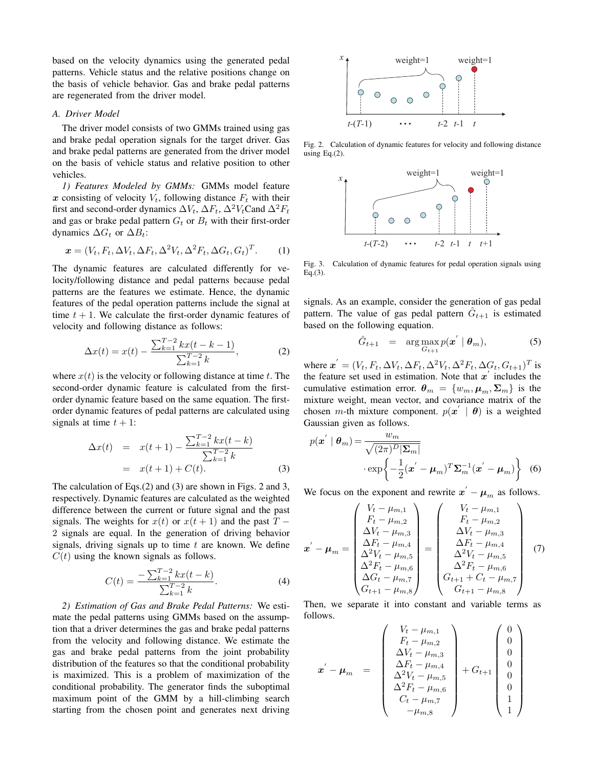based on the velocity dynamics using the generated pedal patterns. Vehicle status and the relative positions change on the basis of vehicle behavior. Gas and brake pedal patterns are regenerated from the driver model.

## *A. Driver Model*

The driver model consists of two GMMs trained using gas and brake pedal operation signals for the target driver. Gas and brake pedal patterns are generated from the driver model on the basis of vehicle status and relative position to other vehicles.

*1) Features Modeled by GMMs:* GMMs model feature *x* consisting of velocity  $V_t$ , following distance  $F_t$  with their first and second-order dynamics  $\Delta V_t$ ,  $\Delta F_t$ ,  $\Delta^2 V_t$ Cand  $\Delta^2 F_t$ and gas or brake pedal pattern  $G_t$  or  $B_t$  with their first-order dynamics  $\Delta G_t$  or  $\Delta B_t$ :

$$
\boldsymbol{x} = (V_t, F_t, \Delta V_t, \Delta F_t, \Delta^2 V_t, \Delta^2 F_t, \Delta G_t, G_t)^T.
$$
 (1)

The dynamic features are calculated differently for velocity/following distance and pedal patterns because pedal patterns are the features we estimate. Hence, the dynamic features of the pedal operation patterns include the signal at time  $t + 1$ . We calculate the first-order dynamic features of velocity and following distance as follows:

$$
\Delta x(t) = x(t) - \frac{\sum_{k=1}^{T-2} kx(t - k - 1)}{\sum_{k=1}^{T-2} k},
$$
 (2)

where  $x(t)$  is the velocity or following distance at time  $t$ . The second-order dynamic feature is calculated from the firstorder dynamic feature based on the same equation. The firstorder dynamic features of pedal patterns are calculated using signals at time  $t + 1$ :

$$
\Delta x(t) = x(t+1) - \frac{\sum_{k=1}^{T-2} kx(t-k)}{\sum_{k=1}^{T-2} k}
$$
  
=  $x(t+1) + C(t)$ . (3)

The calculation of Eqs.(2) and (3) are shown in Figs. 2 and 3, respectively. Dynamic features are calculated as the weighted difference between the current or future signal and the past signals. The weights for  $x(t)$  or  $x(t+1)$  and the past  $T -$ 2 signals are equal. In the generation of driving behavior signals, driving signals up to time *t* are known. We define  $C(t)$  using the known signals as follows.

$$
C(t) = \frac{-\sum_{k=1}^{T-2} kx(t-k)}{\sum_{k=1}^{T-2} k}.
$$
 (4)

*2) Estimation of Gas and Brake Pedal Patterns:* We estimate the pedal patterns using GMMs based on the assumption that a driver determines the gas and brake pedal patterns from the velocity and following distance. We estimate the gas and brake pedal patterns from the joint probability distribution of the features so that the conditional probability is maximized. This is a problem of maximization of the conditional probability. The generator finds the suboptimal maximum point of the GMM by a hill-climbing search starting from the chosen point and generates next driving



Fig. 2. Calculation of dynamic features for velocity and following distance using Eq.(2).



Fig. 3. Calculation of dynamic features for pedal operation signals using  $Eq.(3)$ .

signals. As an example, consider the generation of gas pedal pattern. The value of gas pedal pattern  $\hat{G}_{t+1}$  is estimated based on the following equation.

$$
\hat{G}_{t+1} = \arg \max_{G_{t+1}} p(\boldsymbol{x}^{\prime} \mid \boldsymbol{\theta}_m), \tag{5}
$$

where  $x^{'} = (V_t, F_t, \Delta V_t, \Delta F_t, \Delta^2 V_t, \Delta^2 F_t, \Delta G_t, G_{t+1})^T$  is the feature set used in estimation. Note that *x ′* includes the cumulative estimation error.  $\theta_m = \{w_m, \mu_m, \Sigma_m\}$  is the mixture weight, mean vector, and covariance matrix of the chosen *m*-th mixture component.  $p(x' | \theta)$  is a weighted Gaussian given as follows.

$$
p(\mathbf{x}^{'} | \boldsymbol{\theta}_{m}) = \frac{w_{m}}{\sqrt{(2\pi)^{D}|\boldsymbol{\Sigma}_{m}|}}
$$

$$
\cdot \exp\left\{-\frac{1}{2}(\mathbf{x}^{'} - \boldsymbol{\mu}_{m})^{T}\boldsymbol{\Sigma}_{m}^{-1}(\mathbf{x}^{'} - \boldsymbol{\mu}_{m})\right\} \quad (6)
$$

We focus on the exponent and rewrite  $x' - \mu_m$  as follows.

$$
\mathbf{x}' - \boldsymbol{\mu}_{m} = \begin{pmatrix} V_{t} - \mu_{m,1} \\ F_{t} - \mu_{m,2} \\ \Delta V_{t} - \mu_{m,3} \\ \Delta F_{t} - \mu_{m,4} \\ \Delta^{2} V_{t} - \mu_{m,5} \\ \Delta^{2} F_{t} - \mu_{m,6} \\ \Delta G_{t} - \mu_{m,7} \\ G_{t+1} - \mu_{m,8} \end{pmatrix} = \begin{pmatrix} V_{t} - \mu_{m,1} \\ F_{t} - \mu_{m,2} \\ \Delta V_{t} - \mu_{m,3} \\ \Delta F_{t} - \mu_{m,4} \\ \Delta^{2} V_{t} - \mu_{m,5} \\ \Delta^{2} F_{t} - \mu_{m,6} \\ \Delta^{2} F_{t} - \mu_{m,6} \\ G_{t+1} + C_{t} - \mu_{m,7} \\ G_{t+1} - \mu_{m,8} \end{pmatrix} (7)
$$

Then, we separate it into constant and variable terms as follows.

$$
\mathbf{x}' - \boldsymbol{\mu}_m = \begin{pmatrix} V_t - \mu_{m,1} \\ F_t - \mu_{m,2} \\ \Delta V_t - \mu_{m,3} \\ \Delta F_t - \mu_{m,4} \\ \Delta^2 V_t - \mu_{m,5} \\ \Delta^2 F_t - \mu_{m,6} \\ C_t - \mu_{m,7} \\ -\mu_{m,8} \end{pmatrix} + G_{t+1} \begin{pmatrix} 0 \\ 0 \\ 0 \\ 0 \\ 0 \\ 1 \\ 1 \end{pmatrix}
$$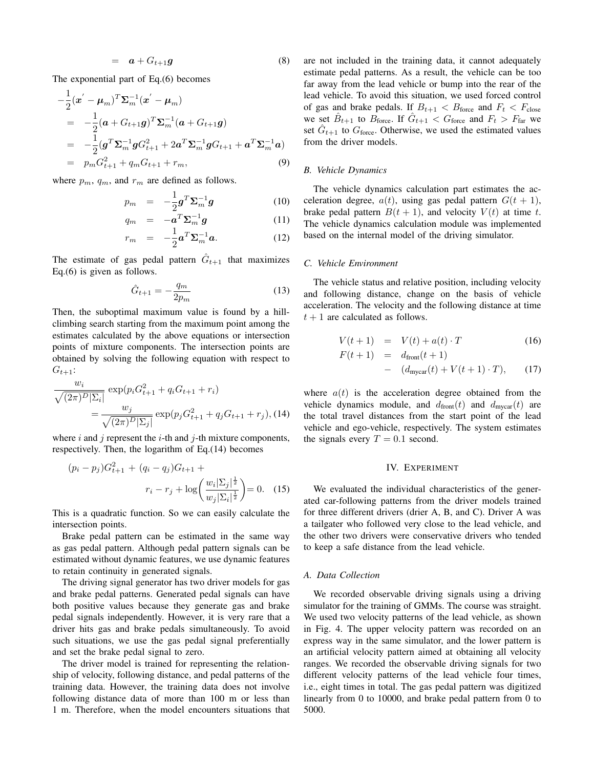$$
= \boldsymbol{a} + G_{t+1}\boldsymbol{g} \tag{8}
$$

The exponential part of Eq.(6) becomes

$$
-\frac{1}{2}(\mathbf{a}' - \boldsymbol{\mu}_m)^T \boldsymbol{\Sigma}_m^{-1} (\mathbf{a}' - \boldsymbol{\mu}_m)
$$
  
\n
$$
= -\frac{1}{2} (\mathbf{a} + G_{t+1} \mathbf{g})^T \boldsymbol{\Sigma}_m^{-1} (\mathbf{a} + G_{t+1} \mathbf{g})
$$
  
\n
$$
= -\frac{1}{2} (\mathbf{g}^T \boldsymbol{\Sigma}_m^{-1} \mathbf{g} G_{t+1}^2 + 2 \mathbf{a}^T \boldsymbol{\Sigma}_m^{-1} \mathbf{g} G_{t+1} + \mathbf{a}^T \boldsymbol{\Sigma}_m^{-1} \mathbf{a})
$$
  
\n
$$
= p_m G_{t+1}^2 + q_m G_{t+1} + r_m,
$$
 (9)

where  $p_m$ ,  $q_m$ , and  $r_m$  are defined as follows.

$$
p_m = -\frac{1}{2}\boldsymbol{g}^T\boldsymbol{\Sigma}_m^{-1}\boldsymbol{g}
$$
 (10)

$$
q_m = -\mathbf{a}^T \mathbf{\Sigma}_m^{-1} \mathbf{g} \tag{11}
$$
\n
$$
1 \mathbf{f} \mathbf{y}^{-1} \tag{12}
$$

$$
r_m = -\frac{1}{2}\boldsymbol{a}^T \boldsymbol{\Sigma}_m^{-1} \boldsymbol{a}.
$$
 (12)

The estimate of gas pedal pattern  $\hat{G}_{t+1}$  that maximizes Eq.(6) is given as follows.

$$
\hat{G}_{t+1} = -\frac{q_m}{2p_m} \tag{13}
$$

Then, the suboptimal maximum value is found by a hillclimbing search starting from the maximum point among the estimates calculated by the above equations or intersection points of mixture components. The intersection points are obtained by solving the following equation with respect to  $G_{t+1}$ :

$$
\frac{w_i}{\sqrt{(2\pi)^D|\Sigma_i|}} \exp(p_i G_{t+1}^2 + q_i G_{t+1} + r_i)
$$
  
= 
$$
\frac{w_j}{\sqrt{(2\pi)^D|\Sigma_j|}} \exp(p_j G_{t+1}^2 + q_j G_{t+1} + r_j),
$$
(14)

where *i* and *j* represent the *i*-th and *j*-th mixture components, respectively. Then, the logarithm of Eq.(14) becomes

$$
(p_i - p_j)G_{t+1}^2 + (q_i - q_j)G_{t+1} +
$$

$$
r_i - r_j + \log\left(\frac{w_i|\Sigma_j|^{\frac{1}{2}}}{w_j|\Sigma_i|^{\frac{1}{2}}}\right) = 0.
$$
 (15)

This is a quadratic function. So we can easily calculate the intersection points.

Brake pedal pattern can be estimated in the same way as gas pedal pattern. Although pedal pattern signals can be estimated without dynamic features, we use dynamic features to retain continuity in generated signals.

The driving signal generator has two driver models for gas and brake pedal patterns. Generated pedal signals can have both positive values because they generate gas and brake pedal signals independently. However, it is very rare that a driver hits gas and brake pedals simultaneously. To avoid such situations, we use the gas pedal signal preferentially and set the brake pedal signal to zero.

The driver model is trained for representing the relationship of velocity, following distance, and pedal patterns of the training data. However, the training data does not involve following distance data of more than 100 m or less than 1 m. Therefore, when the model encounters situations that are not included in the training data, it cannot adequately estimate pedal patterns. As a result, the vehicle can be too far away from the lead vehicle or bump into the rear of the lead vehicle. To avoid this situation, we used forced control of gas and brake pedals. If  $B_{t+1} < B_{\text{force}}$  and  $F_t < F_{\text{close}}$ we set  $\hat{B}_{t+1}$  to  $\hat{B}_{\text{force}}$ . If  $\hat{G}_{t+1} < G_{\text{force}}$  and  $F_t > F_{\text{far}}$  we set  $\hat{G}_{t+1}$  to  $G_{\text{force}}$ . Otherwise, we used the estimated values from the driver models.

# *B. Vehicle Dynamics*

The vehicle dynamics calculation part estimates the acceleration degree,  $a(t)$ , using gas pedal pattern  $G(t + 1)$ , brake pedal pattern  $B(t + 1)$ , and velocity  $V(t)$  at time *t*. The vehicle dynamics calculation module was implemented based on the internal model of the driving simulator.

## *C. Vehicle Environment*

The vehicle status and relative position, including velocity and following distance, change on the basis of vehicle acceleration. The velocity and the following distance at time  $t + 1$  are calculated as follows.

$$
V(t+1) = V(t) + a(t) \cdot T \tag{16}
$$

$$
F(t+1) = d_{\text{front}}(t+1)
$$
  
-  $(d_{\text{mycar}}(t) + V(t+1) \cdot T),$  (17)

where  $a(t)$  is the acceleration degree obtained from the vehicle dynamics module, and  $d_{front}(t)$  and  $d_{mvcar}(t)$  are the total travel distances from the start point of the lead vehicle and ego-vehicle, respectively. The system estimates the signals every  $T = 0.1$  second.

#### IV. EXPERIMENT

We evaluated the individual characteristics of the generated car-following patterns from the driver models trained for three different drivers (drier A, B, and C). Driver A was a tailgater who followed very close to the lead vehicle, and the other two drivers were conservative drivers who tended to keep a safe distance from the lead vehicle.

## *A. Data Collection*

We recorded observable driving signals using a driving simulator for the training of GMMs. The course was straight. We used two velocity patterns of the lead vehicle, as shown in Fig. 4. The upper velocity pattern was recorded on an express way in the same simulator, and the lower pattern is an artificial velocity pattern aimed at obtaining all velocity ranges. We recorded the observable driving signals for two different velocity patterns of the lead vehicle four times, i.e., eight times in total. The gas pedal pattern was digitized linearly from 0 to 10000, and brake pedal pattern from 0 to 5000.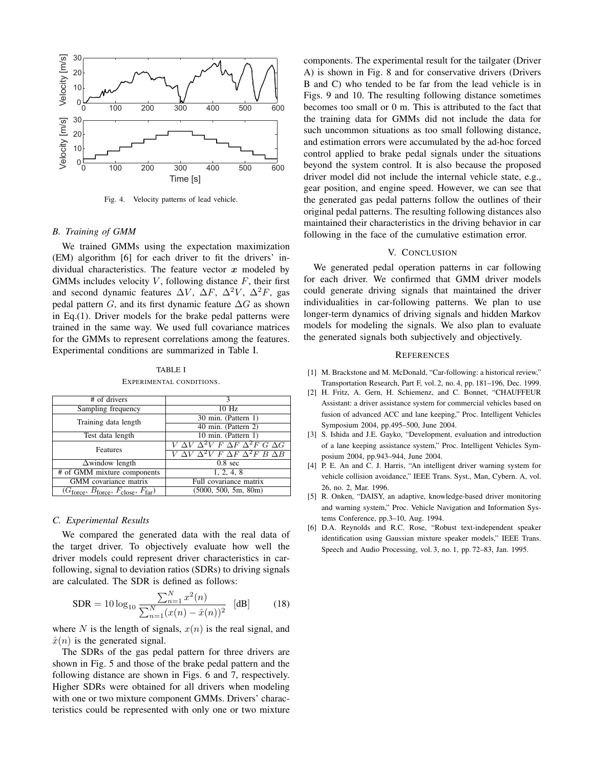

Fig. 4. Velocity patterns of lead vehicle.

#### *B. Training of GMM*

We trained GMMs using the expectation maximization (EM) algorithm [6] for each driver to fit the drivers' individual characteristics. The feature vector *x* modeled by GMMs includes velocity  $V$ , following distance  $F$ , their first and second dynamic features  $\Delta V$ ,  $\Delta F$ ,  $\Delta^2 V$ ,  $\Delta^2 F$ , gas pedal pattern *G*, and its first dynamic feature  $\Delta G$  as shown in Eq.(1). Driver models for the brake pedal patterns were trained in the same way. We used full covariance matrices for the GMMs to represent correlations among the features. Experimental conditions are summarized in Table I.

TABLE I EXPERIMENTAL CONDITIONS.

| # of drivers                                 | ٩                                                                          |
|----------------------------------------------|----------------------------------------------------------------------------|
| Sampling frequency                           | $10$ Hz                                                                    |
| Training data length                         | 30 min. (Pattern 1)                                                        |
|                                              | 40 min. (Pattern 2)                                                        |
| Test data length                             | 10 min. (Pattern 1)                                                        |
| Features                                     | $\overline{V\ \Delta V\ \Delta^2 V\ F\ \Delta F\ \Delta^2 F\ G\ \Delta G}$ |
|                                              | $V\ \Delta V\ \Delta^2 V\ F\ \Delta F\ \Delta^2 F\ B\ \Delta B$            |
| $\Delta$ window length                       | $0.8 \text{ sec}$                                                          |
| # of GMM mixture components                  | 1, 2, 4, 8                                                                 |
| <b>GMM</b> covariance matrix                 | Full covariance matrix                                                     |
| $(G_{force}, B_{force}, F_{close}, F_{far})$ | (5000, 500, 5m, 80m)                                                       |
|                                              |                                                                            |

## *C. Experimental Results*

We compared the generated data with the real data of the target driver. To objectively evaluate how well the driver models could represent driver characteristics in carfollowing, signal to deviation ratios (SDRs) to driving signals are calculated. The SDR is defined as follows:

$$
SDR = 10 \log_{10} \frac{\sum_{n=1}^{N} x^2(n)}{\sum_{n=1}^{N} (x(n) - \hat{x}(n))^2} \quad \text{[dB]} \tag{18}
$$

where *N* is the length of signals,  $x(n)$  is the real signal, and  $\hat{x}(n)$  is the generated signal.

The SDRs of the gas pedal pattern for three drivers are shown in Fig. 5 and those of the brake pedal pattern and the following distance are shown in Figs. 6 and 7, respectively. Higher SDRs were obtained for all drivers when modeling with one or two mixture component GMMs. Drivers' characteristics could be represented with only one or two mixture components. The experimental result for the tailgater (Driver A) is shown in Fig. 8 and for conservative drivers (Drivers B and C) who tended to be far from the lead vehicle is in Figs. 9 and 10. The resulting following distance sometimes becomes too small or 0 m. This is attributed to the fact that the training data for GMMs did not include the data for such uncommon situations as too small following distance, and estimation errors were accumulated by the ad-hoc forced control applied to brake pedal signals under the situations beyond the system control. It is also because the proposed driver model did not include the internal vehicle state, e.g., gear position, and engine speed. However, we can see that the generated gas pedal patterns follow the outlines of their original pedal patterns. The resulting following distances also maintained their characteristics in the driving behavior in car following in the face of the cumulative estimation error.

#### V. CONCLUSION

We generated pedal operation patterns in car following for each driver. We confirmed that GMM driver models could generate driving signals that maintained the driver individualities in car-following patterns. We plan to use longer-term dynamics of driving signals and hidden Markov models for modeling the signals. We also plan to evaluate the generated signals both subjectively and objectively.

#### **REFERENCES**

- [1] M. Brackstone and M. McDonald, "Car-following: a historical review," Transportation Research, Part F, vol. 2, no. 4, pp. 181–196, Dec. 1999.
- [2] H. Fritz, A. Gern, H. Schiemenz, and C. Bonnet, "CHAUFFEUR Assistant: a driver assistance system for commercial vehicles based on fusion of advanced ACC and lane keeping," Proc. Intelligent Vehicles Symposium 2004, pp.495–500, June 2004.
- [3] S. Ishida and J.E. Gayko, "Development, evaluation and introduction of a lane keeping assistance system," Proc. Intelligent Vehicles Symposium 2004, pp.943–944, June 2004.
- [4] P. E. An and C. J. Harris, "An intelligent driver warning system for vehicle collision avoidance," IEEE Trans. Syst., Man, Cybern. A, vol. 26, no. 2, Mar. 1996.
- [5] R. Onken, "DAISY, an adaptive, knowledge-based driver monitoring and warning system," Proc. Vehicle Navigation and Information Systems Conference, pp.3–10, Aug. 1994.
- [6] D.A. Reynolds and R.C. Rose, "Robust text-independent speaker identification using Gaussian mixture speaker models," IEEE Trans. Speech and Audio Processing, vol. 3, no. 1, pp. 72–83, Jan. 1995.